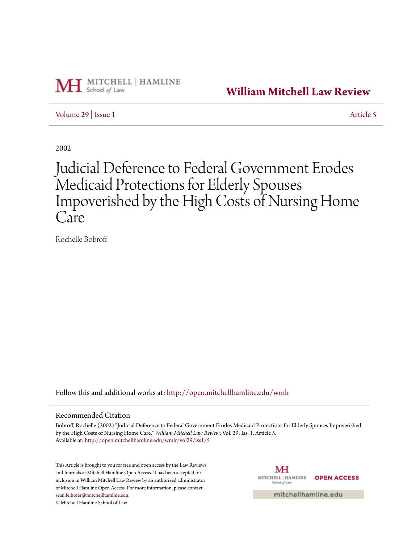

**[William Mitchell Law Review](http://open.mitchellhamline.edu/wmlr?utm_source=open.mitchellhamline.edu%2Fwmlr%2Fvol29%2Fiss1%2F5&utm_medium=PDF&utm_campaign=PDFCoverPages)**

[Volume 29](http://open.mitchellhamline.edu/wmlr/vol29?utm_source=open.mitchellhamline.edu%2Fwmlr%2Fvol29%2Fiss1%2F5&utm_medium=PDF&utm_campaign=PDFCoverPages) | [Issue 1](http://open.mitchellhamline.edu/wmlr/vol29/iss1?utm_source=open.mitchellhamline.edu%2Fwmlr%2Fvol29%2Fiss1%2F5&utm_medium=PDF&utm_campaign=PDFCoverPages) [Article 5](http://open.mitchellhamline.edu/wmlr/vol29/iss1/5?utm_source=open.mitchellhamline.edu%2Fwmlr%2Fvol29%2Fiss1%2F5&utm_medium=PDF&utm_campaign=PDFCoverPages)

2002

# Judicial Deference to Federal Government Erodes Medicaid Protections for Elderly Spouses Impoverished by the High Costs of Nursing Home Care

Rochelle Bobroff

Follow this and additional works at: [http://open.mitchellhamline.edu/wmlr](http://open.mitchellhamline.edu/wmlr?utm_source=open.mitchellhamline.edu%2Fwmlr%2Fvol29%2Fiss1%2F5&utm_medium=PDF&utm_campaign=PDFCoverPages)

# Recommended Citation

Bobroff, Rochelle (2002) "Judicial Deference to Federal Government Erodes Medicaid Protections for Elderly Spouses Impoverished by the High Costs of Nursing Home Care," *William Mitchell Law Review*: Vol. 29: Iss. 1, Article 5. Available at: [http://open.mitchellhamline.edu/wmlr/vol29/iss1/5](http://open.mitchellhamline.edu/wmlr/vol29/iss1/5?utm_source=open.mitchellhamline.edu%2Fwmlr%2Fvol29%2Fiss1%2F5&utm_medium=PDF&utm_campaign=PDFCoverPages)

This Article is brought to you for free and open access by the Law Reviews and Journals at Mitchell Hamline Open Access. It has been accepted for inclusion in William Mitchell Law Review by an authorized administrator of Mitchell Hamline Open Access. For more information, please contact [sean.felhofer@mitchellhamline.edu](mailto:sean.felhofer@mitchellhamline.edu).

© Mitchell Hamline School of Law

МH MITCHELL | HAMLINE **OPEN ACCESS** School of Law

mitchellhamline.edu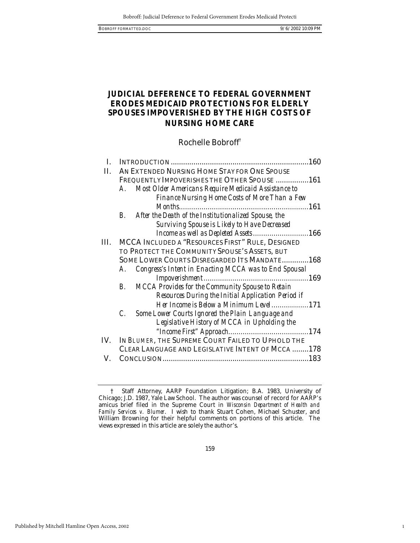1

# **JUDICIAL DEFERENCE TO FEDERAL GOVERNMENT ERODES MEDICAID PROTECTIONS FOR ELDERLY SPOUSES IMPOVERISHED BY THE HIGH COSTS OF NURSING HOME CARE**

Rochelle Bobroff†

|     |                                                                      | 160 |
|-----|----------------------------------------------------------------------|-----|
| П.  | AN EXTENDED NURSING HOME STAY FOR ONE SPOUSE                         |     |
|     | FREQUENTLY IMPOVERISHES THE OTHER SPOUSE  161                        |     |
|     | Most Older Americans Require Medicaid Assistance to<br>A.            |     |
|     | <b>Finance Nursing Home Costs of More Than a Few</b>                 |     |
|     | Months.<br>161                                                       |     |
|     | After the Death of the Institutionalized Spouse, the<br>$\mathbf{B}$ |     |
|     | <b>Surviving Spouse is Likely to Have Decreased</b>                  |     |
|     | Income as well as Depleted Assets166                                 |     |
| Ш.  | MCCA INCLUDED A "RESOURCES FIRST" RULE, DESIGNED                     |     |
|     | TO PROTECT THE COMMUNITY SPOUSE'S ASSETS, BUT                        |     |
|     | SOME LOWER COURTS DISREGARDED ITS MANDATE 168                        |     |
|     | Congress's Intent in Enacting MCCA was to End Spousal<br>А.          |     |
|     |                                                                      |     |
|     | MCCA Provides for the Community Spouse to Retain<br>$B_{\cdot}$      |     |
|     | Resources During the Initial Application Period if                   |     |
|     | Her Income is Below a Minimum Level171                               |     |
|     | $\mathcal{C}$ .<br>Some Lower Courts Ignored the Plain Language and  |     |
|     | Legislative History of MCCA in Upholding the                         |     |
|     |                                                                      |     |
| IV. | IN BLUMER, THE SUPREME COURT FAILED TO UPHOLD THE                    |     |
|     | CLEAR LANGUAGE AND LEGISLATIVE INTENT OF MCCA 178                    |     |
| V.  |                                                                      |     |

<sup>†</sup> Staff Attorney, AARP Foundation Litigation; B.A. 1983, University of Chicago; J.D. 1987, Yale Law School. The author was counsel of record for AARP's amicus brief filed in the Supreme Court in *Wisconsin Department of Health and Family Services v. Blumer*. I wish to thank Stuart Cohen, Michael Schuster, and William Browning for their helpful comments on portions of this article. The views expressed in this article are solely the author's.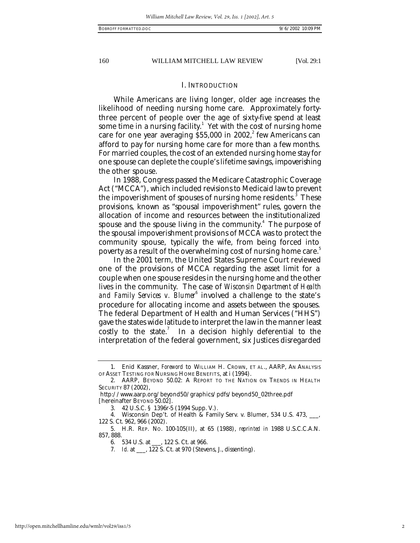# I. INTRODUCTION

While Americans are living longer, older age increases the likelihood of needing nursing home care. Approximately fortythree percent of people over the age of sixty-five spend at least some time in a nursing facility. $1$  Yet with the cost of nursing home care for one year averaging  $$55,000$  in 2002,<sup>2</sup> few Americans can afford to pay for nursing home care for more than a few months. For married couples, the cost of an extended nursing home stay for one spouse can deplete the couple's lifetime savings, impoverishing the other spouse.

In 1988, Congress passed the Medicare Catastrophic Coverage Act ("MCCA"), which included revisions to Medicaid law to prevent the impoverishment of spouses of nursing home residents. $^{\rm 3}$  These provisions, known as "spousal impoverishment" rules, govern the allocation of income and resources between the institutionalized spouse and the spouse living in the community. $^4$  The purpose of the spousal impoverishment provisions of MCCA was to protect the community spouse, typically the wife, from being forced into poverty as a result of the overwhelming cost of nursing home care.<sup>5</sup>

In the 2001 term, the United States Supreme Court reviewed one of the provisions of MCCA regarding the asset limit for a couple when one spouse resides in the nursing home and the other lives in the community. The case of *Wisconsin Department of Health*  and Family Services v. Blumer<sup>6</sup> involved a challenge to the state's procedure for allocating income and assets between the spouses. The federal Department of Health and Human Services ("HHS") gave the states wide latitude to interpret the law in the manner least costly to the state. $^7$  In a decision highly deferential to the interpretation of the federal government, six Justices disregarded

7*. Id.* at \_\_\_, 122 S. Ct. at 970 (Stevens, J., dissenting).

<sup>1.</sup> Enid Kassner, *Foreword* to WILLIAM H. CROWN, ET AL., AARP, AN ANALYSIS OF ASSET TESTING FOR NURSING HOME BENEFITS, at i (1994).

<sup>2.</sup> AARP, BEYOND 50.02: A REPORT TO THE NATION ON TRENDS IN HEALTH SECURITY 87 (2002),

http://www.aarp.org/beyond50/graphics/pdfs/beyond50\_02three.pdf [hereinafter BEYOND 50.02].

<sup>3.</sup> 42 U.S.C. § 1396r-5 (1994 Supp. V.).

<sup>4.</sup> Wisconsin Dep't. of Health & Family Serv. v. Blumer, 534 U.S. 473, ...... 122 S. Ct. 962, 966 (2002).

<sup>5.</sup> H.R. REP. NO. 100-105(II), at 65 (1988), *reprinted in* 1988 U.S.C.C.A.N. 857, 888.

<sup>6.</sup> 534 U.S. at \_\_\_, 122 S. Ct. at 966.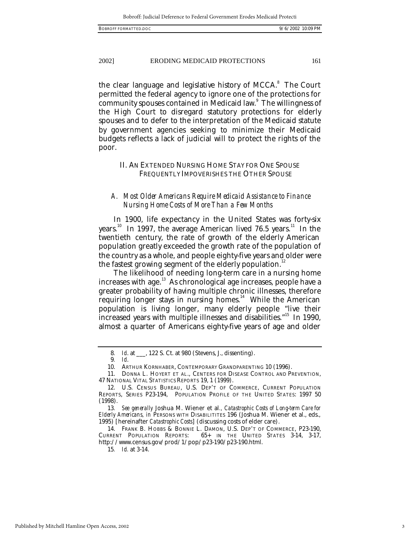the clear language and legislative history of MCCA.<sup>8</sup> The Court permitted the federal agency to ignore one of the protections for community spouses contained in Medicaid law. $^{\circ}$  The willingness of the High Court to disregard statutory protections for elderly spouses and to defer to the interpretation of the Medicaid statute by government agencies seeking to minimize their Medicaid budgets reflects a lack of judicial will to protect the rights of the poor.

# II. AN EXTENDED NURSING HOME STAY FOR ONE SPOUSE FREQUENTLY IMPOVERISHES THE OTHER SPOUSE

# *A. Most Older Americans Require Medicaid Assistance to Finance Nursing Home Costs of More Than a Few Months*

In 1900, life expectancy in the United States was forty-six years.<sup>10</sup> In 1997, the average American lived 76.5 years.<sup>11</sup> In the twentieth century, the rate of growth of the elderly American population greatly exceeded the growth rate of the population of the country as a whole, and people eighty-five years and older were the fastest growing segment of the elderly population.<sup>12</sup>

The likelihood of needing long-term care in a nursing home increases with age.<sup>13</sup> As chronological age increases, people have a greater probability of having multiple chronic illnesses, therefore requiring longer stays in nursing homes.<sup>14</sup> While the American population is living longer, many elderly people "live their increased years with multiple illnesses and disabilities.<sup>"15</sup> In 1990, almost a quarter of Americans eighty-five years of age and older

15*. Id.* at 3-14.

<sup>8</sup>*. Id*. at \_\_\_, 122 S. Ct. at 980 (Stevens, J., dissenting).

<sup>9</sup>*. Id*.

<sup>10.</sup> ARTHUR KORNHABER, CONTEMPORARY GRANDPARENTING 10 (1996).

<sup>11.</sup> DONNA L. HOYERT ET AL., CENTERS FOR DISEASE CONTROL AND PREVENTION, 47 NATIONAL VITAL STATISTICS REPORTS 19, 1 (1999).

<sup>12.</sup> U.S. CENSUS BUREAU, U.S. DEP'T OF COMMERCE, CURRENT POPULATION REPORTS, SERIES P23-194, POPULATION PROFILE OF THE UNITED STATES: 1997 50 (1998).

<sup>13</sup>*. See generally* Joshua M. Wiener et al*., Catastrophic Costs of Long-term Care for Elderly Americans, in* PERSONS WITH DISABILITITES 196 (Joshua M. Wiener et al., eds., 1995) [hereinafter *Catastrophic Costs*] (discussing costs of elder care).

<sup>14.</sup> FRANK B. HOBBS & BONNIE L. DAMON, U.S. DEP'T OF COMMERCE, P23-190, CURRENT POPULATION REPORTS: 65+ IN THE UNITED STATES 3-14, 3-17, http://www.census.gov/prod/1/pop/p23-190/p23-190.html.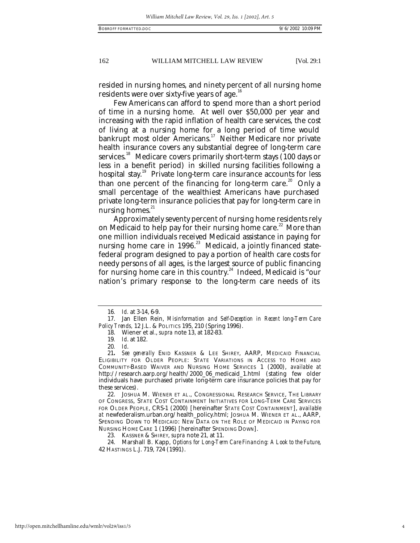resided in nursing homes, and ninety percent of all nursing home residents were over sixty-five years of age.<sup>16</sup>

Few Americans can afford to spend more than a short period of time in a nursing home. At well over \$50,000 per year and increasing with the rapid inflation of health care services, the cost of living at a nursing home for a long period of time would bankrupt most older Americans.<sup>17</sup> Neither Medicare nor private health insurance covers any substantial degree of long-term care services.<sup>18</sup> Medicare covers primarily short-term stays (100 days or less in a benefit period) in skilled nursing facilities following a hospital stay.<sup>19</sup> Private long-term care insurance accounts for less than one percent of the financing for long-term care.<sup>20</sup> Only a small percentage of the wealthiest Americans have purchased private long-term insurance policies that pay for long-term care in nursing homes. $21$ 

Approximately seventy percent of nursing home residents rely on Medicaid to help pay for their nursing home care.<sup>22</sup> More than one million individuals received Medicaid assistance in paying for nursing home care in 1996.<sup>23</sup> Medicaid, a jointly financed statefederal program designed to pay a portion of health care costs for needy persons of all ages, is the largest source of public financing for nursing home care in this country.<sup>24</sup> Indeed, Medicaid is "our nation's primary response to the long-term care needs of its

22. JOSHUA M. WIENER ET AL., CONGRESSIONAL RESEARCH SERVICE, THE LIBRARY OF CONGRESS, STATE COST CONTAINMENT INITIATIVES FOR LONG-TERM CARE SERVICES FOR OLDER PEOPLE, CRS-1 (2000) [hereinafter STATE COST CONTAINMENT], *available at* newfederalism.urban.org/health\_policy.html; JOSHUA M. WIENER ET AL., AARP, SPENDING DOWN TO MEDICAID: NEW DATA ON THE ROLE OF MEDICAID IN PAYING FOR NURSING HOME CARE 1 (1996) [hereinafter SPENDING DOWN].

23. KASSNER & SHIREY, *supra* note 21*,* at 11.

24. Marshall B. Kapp, *Options for Long-Term Care Financing: A Look to the Future*, 42 HASTINGS L.J. 719, 724 (1991).

<sup>16</sup>*. Id.* at 3-14, 6-9.

<sup>17.</sup> Jan Ellen Rein, *Misinformation and Self-Deception in Recent long-Term Care Policy Trends,* 12 J.L. & POLITICS 195, 210 (Spring 1996).

<sup>18.</sup> Wiener et al., *supra* note 13, at 182-83.

<sup>19</sup>*. Id*. at 182.

<sup>20</sup>*. Id*.

<sup>21</sup>*. See generally* ENID KASSNER & LEE SHIREY, AARP, MEDICAID FINANCIAL ELIGIBILITY FOR OLDER PEOPLE: STATE VARIATIONS IN ACCESS TO HOME AND COMMUNITY-BASED WAIVER AND NURSING HOME SERVICES 1 (2000), *available at* http://research.aarp.org/health/2000\_06\_medicaid\_1.html (stating few older individuals have purchased private long-term care insurance policies that pay for these services).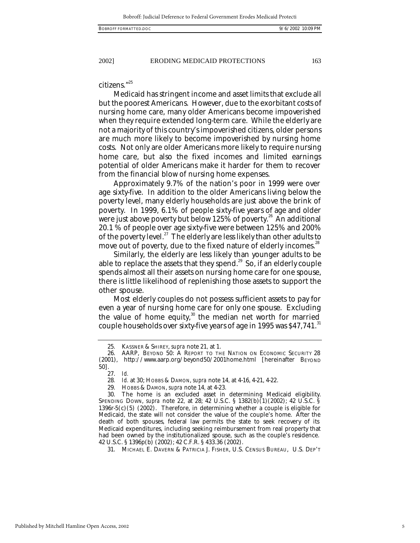citizens."<sup>25</sup>

Medicaid has stringent income and asset limits that exclude all but the poorest Americans. However, due to the exorbitant costs of nursing home care, many older Americans become impoverished when they require extended long-term care. While the elderly are not a majority of this country's impoverished citizens, older persons are much more likely to become impoverished by nursing home costs. Not only are older Americans more likely to require nursing home care, but also the fixed incomes and limited earnings potential of older Americans make it harder for them to recover from the financial blow of nursing home expenses.

Approximately 9.7% of the nation's poor in 1999 were over age sixty-five. In addition to the older Americans living below the poverty level, many elderly households are just above the brink of poverty. In 1999, 6.1% of people sixty-five years of age and older were just above poverty but below 125% of poverty.<sup>26</sup> An additional 20.1 % of people over age sixty-five were between 125% and 200% of the poverty level.<sup>27</sup> The elderly are less likely than other adults to move out of poverty, due to the fixed nature of elderly incomes.<sup>28</sup>

Similarly, the elderly are less likely than younger adults to be able to replace the assets that they spend.<sup>29</sup> So, if an elderly couple spends almost all their assets on nursing home care for one spouse, there is little likelihood of replenishing those assets to support the other spouse.

Most elderly couples do not possess sufficient assets to pay for even a year of nursing home care for only one spouse. Excluding the value of home equity, $30$  the median net worth for married couple households over sixty-five years of age in 1995 was  $$47,741$ .<sup>31</sup>

<sup>25.</sup> KASSNER & SHIREY, *supra* note 21*,* at 1.

<sup>26.</sup> AARP, BEYOND 50: A REPORT TO THE NATION ON ECONOMIC SECURITY 28 (2001), http://www.aarp.org/beyond50/2001home.html [hereinafter BEYOND 50].

<sup>27.</sup> *Id.*

<sup>28</sup>*. Id.* at 30; HOBBS & DAMON, *supra* note 14*,* at 4-16, 4-21, 4-22.

<sup>29.</sup> HOBBS & DAMON, *supra* note 14*,* at 4-23.

The home is an excluded asset in determining Medicaid eligibility. SPENDING DOWN, *supra* note 22*,* at 28; 42 U.S.C. § 1382(b)(1)(2002); 42 U.S.C. § 1396r-5(c)(5) (2002). Therefore, in determining whether a couple is eligible for Medicaid, the state will not consider the value of the couple's home. After the death of both spouses, federal law permits the state to seek recovery of its Medicaid expenditures, including seeking reimbursement from real property that had been owned by the institutionalized spouse, such as the couple's residence. 42 U.S.C. § 1396p(b) (2002); 42 C.F.R. § 433.36 (2002).

<sup>31.</sup> MICHAEL E. DAVERN & PATRICIA J. FISHER, U.S. CENSUS BUREAU, U.S. DEP'T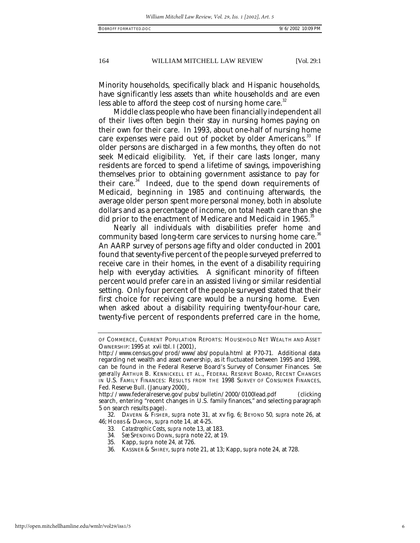Minority households, specifically black and Hispanic households, have significantly less assets than white households and are even less able to afford the steep cost of nursing home care.<sup>32</sup>

Middle class people who have been financially independent all of their lives often begin their stay in nursing homes paying on their own for their care. In 1993, about one-half of nursing home care expenses were paid out of pocket by older Americans.<sup>33</sup> If older persons are discharged in a few months, they often do not seek Medicaid eligibility. Yet, if their care lasts longer, many residents are forced to spend a lifetime of savings, impoverishing themselves prior to obtaining government assistance to pay for their care. $34$  Indeed, due to the spend down requirements of Medicaid, beginning in 1985 and continuing afterwards, the average older person spent more personal money, both in absolute dollars and as a percentage of income, on total heath care than she did prior to the enactment of Medicare and Medicaid in 1965.<sup>35</sup>

Nearly all individuals with disabilities prefer home and community based long-term care services to nursing home care.<sup>36</sup> An AARP survey of persons age fifty and older conducted in 2001 found that seventy-five percent of the people surveyed preferred to receive care in their homes, in the event of a disability requiring help with everyday activities. A significant minority of fifteen percent would prefer care in an assisted living or similar residential setting. Only four percent of the people surveyed stated that their first choice for receiving care would be a nursing home. Even when asked about a disability requiring twenty-four-hour care, twenty-five percent of respondents preferred care in the home,

34*. See* SPENDING DOWN, *supra* note 22, at 19.

OF COMMERCE, CURRENT POPULATION REPORTS: HOUSEHOLD NET WEALTH AND ASSET OWNERSHIP: 1995 *at* xvii tbl. I (2001),

http://www.census.gov/prod/www/abs/popula.html at P70-71. Additional data regarding net wealth and asset ownership, as it fluctuated between 1995 and 1998, can be found in the Federal Reserve Board's Survey of Consumer Finances. *See generally* ARTHUR B. KENNICKELL ET AL., FEDERAL RESERVE BOARD, RECENT CHANGES IN U.S. FAMILY FINANCES: RESULTS FROM THE 1998 SURVEY OF CONSUMER FINANCES, Fed. Reserve Bull. (January 2000),

http://www.federalreserve.gov/pubs/bulletin/2000/0100lead.pdf (clicking search, entering "recent changes in U.S. family finances," and selecting paragraph 5 on search results page).

<sup>32.</sup> DAVERN & FISHER, *supra* note 31*,* at xv fig. 6; BEYOND 50*, supra* note 26, at 46; HOBBS & DAMON, *supra* note 14*,* at 4-25.

<sup>33</sup>*. Catastrophic Costs*, *supra* note 13, at 183.

<sup>35.</sup> Kapp, *supra* note 24*,* at 726.

<sup>36.</sup> KASSNER & SHIREY, *supra* note 21, at 13; Kapp, *supra* note 24, at 728.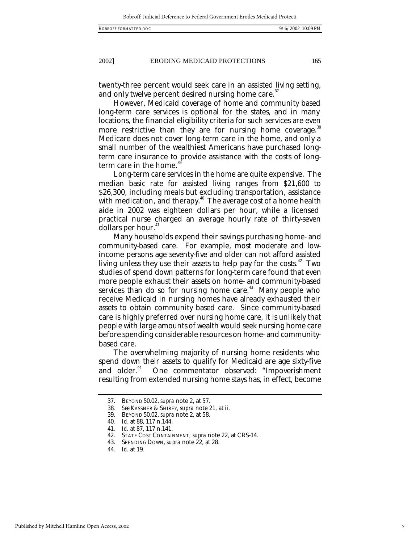twenty-three percent would seek care in an assisted living setting, and only twelve percent desired nursing home care.<sup>37</sup>

However, Medicaid coverage of home and community based long-term care services is optional for the states, and in many locations, the financial eligibility criteria for such services are even more restrictive than they are for nursing home coverage. $^{\rm 38}$ Medicare does not cover long-term care in the home, and only a small number of the wealthiest Americans have purchased longterm care insurance to provide assistance with the costs of longterm care in the home.

Long-term care services in the home are quite expensive. The median basic rate for assisted living ranges from \$21,600 to \$26,300, including meals but excluding transportation, assistance with medication, and therapy.<sup>40</sup> The average cost of a home health aide in 2002 was eighteen dollars per hour, while a licensed practical nurse charged an average hourly rate of thirty-seven dollars per hour.<sup>41</sup>

Many households expend their savings purchasing home- and community-based care. For example, most moderate and lowincome persons age seventy-five and older can not afford assisted living unless they use their assets to help pay for the costs.<sup>42</sup> Two studies of spend down patterns for long-term care found that even more people exhaust their assets on home- and community-based services than do so for nursing home care.<sup> $43$ </sup> Many people who receive Medicaid in nursing homes have already exhausted their assets to obtain community based care. Since community-based care is highly preferred over nursing home care, it is unlikely that people with large amounts of wealth would seek nursing home care before spending considerable resources on home- and communitybased care.

The overwhelming majority of nursing home residents who spend down their assets to qualify for Medicaid are age sixty-five<br>and older.<sup>44</sup> One commentator observed: "Impoverishment One commentator observed: "Impoverishment resulting from extended nursing home stays has, in effect, become

<sup>37.</sup> BEYOND 50.02, *supra* note 2, at 57.

<sup>38</sup>*. See* KASSNER & SHIREY, *supra* note 21*,* at ii.

<sup>39.</sup> BEYOND 50.02, *supra* note 2*,* at 58.

<sup>40</sup>*. Id*. at 88, 117 n.144.

<sup>41</sup>*. Id.* at 87, 117 n.141.

<sup>42.</sup> STATE COST CONTAINMENT*, supra* note 22*,* at CRS-14.

<sup>43.</sup> SPENDING DOWN, *supra* note 22, at 28.

<sup>44</sup>*. Id.* at 19.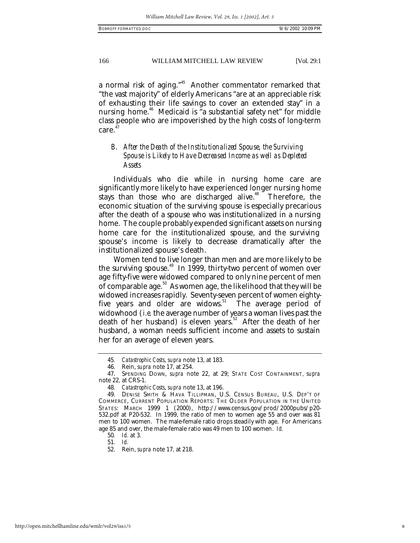a normal risk of aging."<sup>45</sup> Another commentator remarked that "the vast majority" of elderly Americans "are at an appreciable risk of exhausting their life savings to cover an extended stay" in a nursing home.<sup>46</sup> Medicaid is "a substantial safety net" for middle class people who are impoverished by the high costs of long-term care. 47

# *B. After the Death of the Institutionalized Spouse, the Surviving Spouse is Likely to Have Decreased Income as well as Depleted Assets*

Individuals who die while in nursing home care are significantly more likely to have experienced longer nursing home stays than those who are discharged alive.<sup>48</sup> Therefore, the economic situation of the surviving spouse is especially precarious after the death of a spouse who was institutionalized in a nursing home. The couple probably expended significant assets on nursing home care for the institutionalized spouse, and the surviving spouse's income is likely to decrease dramatically after the institutionalized spouse's death.

Women tend to live longer than men and are more likely to be the surviving spouse.<sup>49</sup> In 1999, thirty-two percent of women over age fifty-five were widowed compared to only nine percent of men of comparable age.<sup>50</sup> As women age, the likelihood that they will be widowed increases rapidly. Seventy-seven percent of women eightyfive years and older are widows.<sup>51</sup> The average period of widowhood (*i.e.* the average number of years a woman lives past the death of her husband) is eleven years.<sup>52</sup> After the death of her husband, a woman needs sufficient income and assets to sustain her for an average of eleven years.

<sup>45</sup>*. Catastrophic Costs*, *supra* note 13, at 183.

<sup>46.</sup> Rein, *supra* note 17*,* at 254.

<sup>47.</sup> SPENDING DOWN, *supra* note 22, at 29; STATE COST CONTAINMENT*, supra*  note 22*,* at CRS-1.

<sup>48</sup>*. Catastrophic Costs*, *supra* note 13, at 196.

<sup>49.</sup> DENISE SMITH & HAVA TILLIPMAN, U.S. CENSUS BUREAU, U.S. DEP'T OF COMMERCE, CURRENT POPULATION REPORTS: THE OLDER POPULATION IN THE UNITED STATES: MARCH 1999 1 (2000), http://www.census.gov/prod/2000pubs/p20- 532.pdf at P20-532. In 1999, the ratio of men to women age 55 and over was 81 men to 100 women. The male-female ratio drops steadily with age. For Americans age 85 and over, the male-female ratio was 49 men to 100 women. *Id.*

<sup>50</sup>*. Id.* at 3.

<sup>51</sup>*. Id.*

<sup>52.</sup> Rein, *supra* note 17*,* at 218.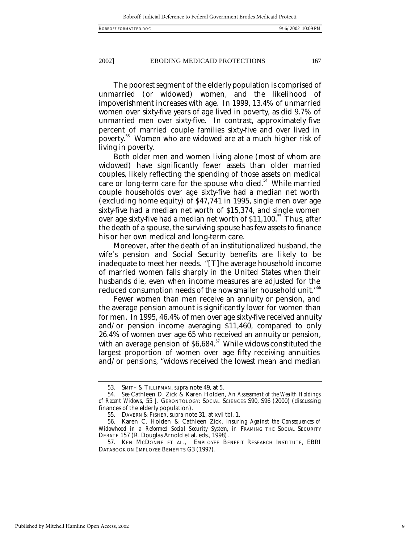The poorest segment of the elderly population is comprised of unmarried (or widowed) women, and the likelihood of impoverishment increases with age. In 1999, 13.4% of unmarried women over sixty-five years of age lived in poverty, as did 9.7% of unmarried men over sixty-five. In contrast, approximately five percent of married couple families sixty-five and over lived in poverty.<sup>53</sup> Women who are widowed are at a much higher risk of living in poverty.

Both older men and women living alone (most of whom are widowed) have significantly fewer assets than older married couples, likely reflecting the spending of those assets on medical care or long-term care for the spouse who died.<sup>54</sup> While married couple households over age sixty-five had a median net worth (excluding home equity) of \$47,741 in 1995, single men over age sixty-five had a median net worth of \$15,374, and single women over age sixty-five had a median net worth of  $$11,100$ <sup>55</sup> Thus, after the death of a spouse, the surviving spouse has few assets to finance his or her own medical and long-term care.

Moreover, after the death of an institutionalized husband, the wife's pension and Social Security benefits are likely to be inadequate to meet her needs. "[T]he average household income of married women falls sharply in the United States when their husbands die, even when income measures are adjusted for the reduced consumption needs of the now smaller household unit."<sup>56</sup>

Fewer women than men receive an annuity or pension, and the average pension amount is significantly lower for women than for men. In 1995, 46.4% of men over age sixty-five received annuity and/or pension income averaging \$11,460, compared to only 26.4% of women over age 65 who received an annuity or pension, with an average pension of  $$6,684$ .<sup>57</sup> While widows constituted the largest proportion of women over age fifty receiving annuities and/or pensions, "widows received the lowest mean and median

<sup>53.</sup> SMITH & TILLIPMAN, *supra* note 49*,* at 5.

<sup>54</sup>*. See* Cathleen D. Zick & Karen Holden, *An Assessment of the Wealth Holdings of Recent Widows,* 55 J. GERONTOLOGY: SOCIAL SCIENCES S90, S96 (2000) (discussing finances of the elderly population).

<sup>55.</sup> DAVERN & FISHER, *supra* note 31, at xvii tbl. 1.

<sup>56.</sup> Karen C. Holden & Cathleen Zick, *Insuring Against the Consequences of Widowhood in a Reformed Social Security System*, *in* FRAMING THE SOCIAL SECURITY DEBATE 157 (R. Douglas Arnold et al. eds., 1998).

<sup>57.</sup> KEN MCDONNE ET AL., EMPLOYEE BENEFIT RESEARCH INSTITUTE, EBRI DATABOOK ON EMPLOYEE BENEFITS G3 (1997).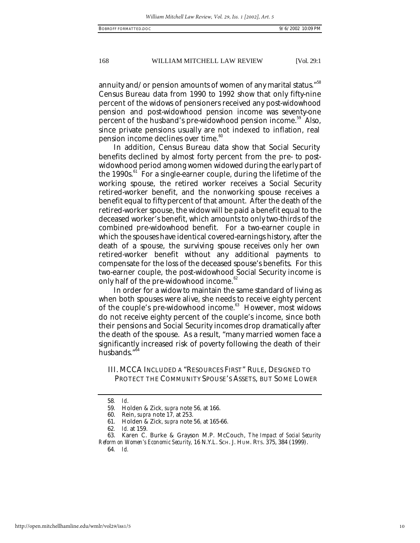annuity and/or pension amounts of women of any marital status." $^{\rm 58}$ Census Bureau data from 1990 to 1992 show that only fifty-nine percent of the widows of pensioners received any post-widowhood pension and post-widowhood pension income was seventy-one percent of the husband's pre-widowhood pension income.<sup>59</sup> Also, since private pensions usually are not indexed to inflation, real pension income declines over time.<sup>60</sup>

In addition, Census Bureau data show that Social Security benefits declined by almost forty percent from the pre- to postwidowhood period among women widowed during the early part of the 1990s. $61$  For a single-earner couple, during the lifetime of the working spouse, the retired worker receives a Social Security retired-worker benefit, and the nonworking spouse receives a benefit equal to fifty percent of that amount. After the death of the retired-worker spouse, the widow will be paid a benefit equal to the deceased worker's benefit, which amounts to only two-thirds of the combined pre-widowhood benefit. For a two-earner couple in which the spouses have identical covered-earnings history, after the death of a spouse, the surviving spouse receives only her own retired-worker benefit without any additional payments to compensate for the loss of the deceased spouse's benefits. For this two-earner couple, the post-widowhood Social Security income is only half of the pre-widowhood income.<sup>62</sup>

In order for a widow to maintain the same standard of living as when both spouses were alive, she needs to receive eighty percent of the couple's pre-widowhood income.<sup>63</sup> However, most widows do not receive eighty percent of the couple's income, since both their pensions and Social Security incomes drop dramatically after the death of the spouse. As a result, "many married women face a significantly increased risk of poverty following the death of their husbands."<sup>6</sup>

III. MCCA INCLUDED A "RESOURCES FIRST" RULE, DESIGNED TO PROTECT THE COMMUNITY SPOUSE'S ASSETS, BUT SOME LOWER

<sup>58</sup>*. Id*.

<sup>59.</sup> Holden & Zick*, supra* note 56*,* at 166.

<sup>60.</sup> Rein, *supra* note 17*,* at 253.

<sup>61.</sup> Holden & Zick*, supra* note 56*,* at 165-66.

<sup>62</sup>*. Id.* at 159.

<sup>63.</sup> Karen C. Burke & Grayson M.P. McCouch, *The Impact of Social Security Reform on Women's Economic Security,* 16 N.Y.L. SCH. J. HUM. RTS. 375, 384 (1999).

<sup>64</sup>*. Id.*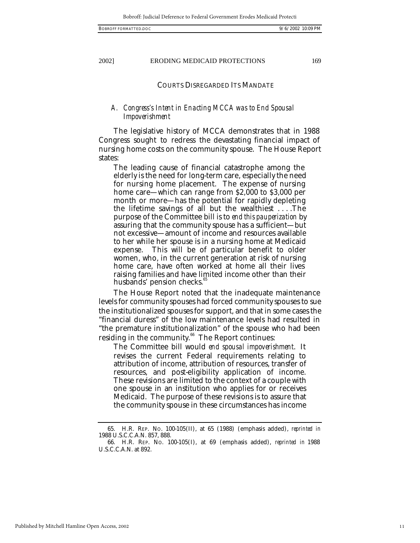#### COURTS DISREGARDED ITS MANDATE

# *A. Congress's Intent in Enacting MCCA was to End Spousal Impoverishment*

The legislative history of MCCA demonstrates that in 1988 Congress sought to redress the devastating financial impact of nursing home costs on the community spouse. The House Report states:

The leading cause of financial catastrophe among the elderly is the need for long-term care, especially the need for nursing home placement. The expense of nursing home care—which can range from \$2,000 to \$3,000 per month or more—has the potential for rapidly depleting the lifetime savings of all but the wealthiest . . . .The purpose of the Committee bill is to *end this pauperization* by assuring that the community spouse has a sufficient—but not excessive—amount of income and resources available to her while her spouse is in a nursing home at Medicaid expense. This will be of particular benefit to older women, who, in the current generation at risk of nursing home care, have often worked at home all their lives raising families and have limited income other than their husbands' pension checks.<sup>8</sup>

The House Report noted that the inadequate maintenance levels for community spouses had forced community spouses to sue the institutionalized spouses for support, and that in some cases the "financial duress" of the low maintenance levels had resulted in "the premature institutionalization" of the spouse who had been residing in the community.<sup>66</sup> The Report continues:

The Committee bill would *end spousal impoverishment*. It revises the current Federal requirements relating to attribution of income, attribution of resources, transfer of resources, and post-eligibility application of income. These revisions are limited to the context of a couple with one spouse in an institution who applies for or receives Medicaid. The purpose of these revisions is to assure that the community spouse in these circumstances has income

<sup>65.</sup> H.R. REP. NO. 100-105(II), at 65 (1988) (emphasis added), *reprinted in* 1988 U.S.C.C.A.N. 857, 888.

<sup>66.</sup> H.R. REP. NO. 100-105(I), at 69 (emphasis added), *reprinted in* 1988 U.S.C.C.A.N. at 892.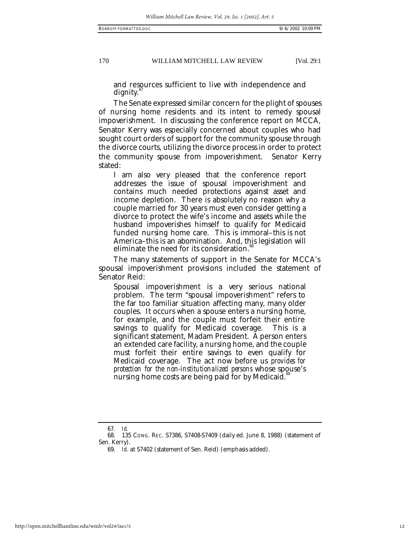and resources sufficient to live with independence and dignity.

The Senate expressed similar concern for the plight of spouses of nursing home residents and its intent to remedy spousal impoverishment. In discussing the conference report on MCCA, Senator Kerry was especially concerned about couples who had sought court orders of support for the community spouse through the divorce courts, utilizing the divorce process in order to protect the community spouse from impoverishment. Senator Kerry stated:

I am also very pleased that the conference report addresses the issue of spousal impoverishment and contains much needed protections against asset and income depletion. There is absolutely no reason why a couple married for 30 years must even consider getting a divorce to protect the wife's income and assets while the husband impoverishes himself to qualify for Medicaid funded nursing home care. This is immoral–this is not America–this is an abomination. And, this legislation will eliminate the need for its consideration.<sup>1</sup>

The many statements of support in the Senate for MCCA's spousal impoverishment provisions included the statement of Senator Reid:

Spousal impoverishment is a very serious national problem. The term "spousal impoverishment" refers to the far too familiar situation affecting many, many older couples. It occurs when a spouse enters a nursing home, for example, and the couple must forfeit their entire savings to qualify for Medicaid coverage. This is a significant statement, Madam President. A person enters an extended care facility, a nursing home, and the couple must forfeit their entire savings to even qualify for Medicaid coverage. The act now before us *provides for protection for the non-institutionalized persons* whose spouse's nursing home costs are being paid for by Medicaid.<sup>81</sup>

<sup>67</sup>*. Id.*

<sup>68.</sup> 135 CONG. REC. S7386, S7408-S7409 (daily ed. June 8, 1988) (statement of Sen. Kerry).

<sup>69</sup>*. Id.* at S7402 (statement of Sen. Reid) (emphasis added).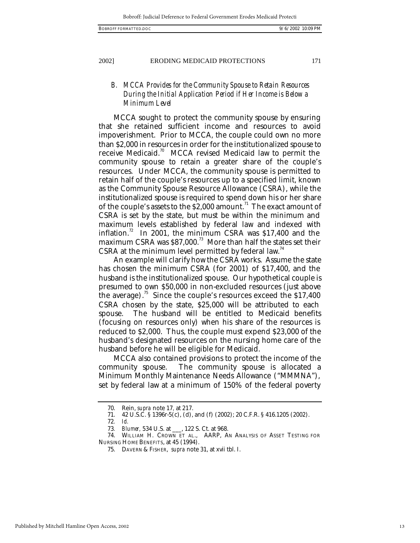# *B. MCCA Provides for the Community Spouse to Retain Resources During the Initial Application Period if Her Income is Below a Minimum Level*

MCCA sought to protect the community spouse by ensuring that she retained sufficient income and resources to avoid impoverishment. Prior to MCCA, the couple could own no more than \$2,000 in resources in order for the institutionalized spouse to receive Medicaid.<sup>70</sup> MCCA revised Medicaid law to permit the community spouse to retain a greater share of the couple's resources. Under MCCA, the community spouse is permitted to retain half of the couple's resources up to a specified limit, known as the Community Spouse Resource Allowance (CSRA), while the institutionalized spouse is required to spend down his or her share of the couple's assets to the  $$2,000$  amount.<sup>71</sup> The exact amount of CSRA is set by the state, but must be within the minimum and maximum levels established by federal law and indexed with inflation.<sup>72</sup> In 2001, the minimum CSRA was \$17,400 and the maximum CSRA was \$87,000.<sup>73</sup> More than half the states set their CSRA at the minimum level permitted by federal law.<sup>74</sup>

An example will clarify how the CSRA works. Assume the state has chosen the minimum CSRA (for 2001) of \$17,400, and the husband is the institutionalized spouse. Our hypothetical couple is presumed to own \$50,000 in non-excluded resources (just above the average).<sup>75</sup> Since the couple's resources exceed the  $$17,400$ CSRA chosen by the state, \$25,000 will be attributed to each spouse. The husband will be entitled to Medicaid benefits (focusing on resources only) when his share of the resources is reduced to \$2,000. Thus, the couple must expend \$23,000 of the husband's designated resources on the nursing home care of the husband before he will be eligible for Medicaid.

MCCA also contained provisions to protect the income of the community spouse. The community spouse is allocated a Minimum Monthly Maintenance Needs Allowance ("MMMNA"), set by federal law at a minimum of 150% of the federal poverty

<sup>70.</sup> Rein, *supra* note 17*,* at 217.

<sup>71.</sup> 42 U.S.C. § 1396r-5(c), (d), and (f) (2002); 20 C.F.R. § 416.1205 (2002).

<sup>72</sup>*. Id.*

<sup>73</sup>*. Blumer,* 534 U.S. at \_\_\_, 122 S. Ct. at 968.

<sup>74.</sup> WILLIAM H. CROWN ET AL., AARP, AN ANALYSIS OF ASSET TESTING FOR NURSING HOME BENEFITS, at 45 (1994).

<sup>75.</sup> DAVERN & FISHER, *supra* note 31, at xvii tbl. I.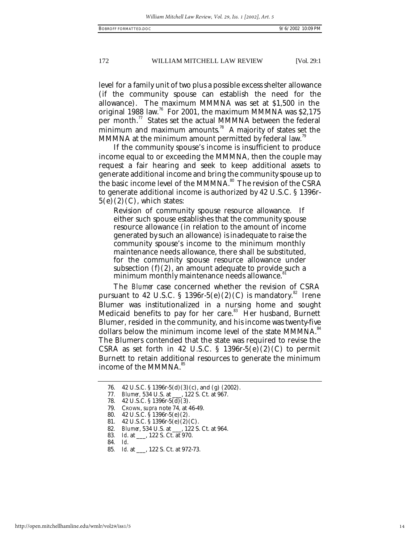level for a family unit of two plus a possible excess shelter allowance (if the community spouse can establish the need for the allowance). The maximum MMMNA was set at \$1,500 in the original 1988 law.<sup>76</sup> For 2001, the maximum MMMNA was \$2,175 per month. $\frac{7}{7}$  States set the actual MMMNA between the federal minimum and maximum amounts.<sup>78</sup> A majority of states set the MMMNA at the minimum amount permitted by federal law.<sup>79</sup>

If the community spouse's income is insufficient to produce income equal to or exceeding the MMMNA, then the couple may request a fair hearing and seek to keep additional assets to generate additional income and bring the community spouse up to the basic income level of the MMMNA.<sup>80</sup> The revision of the CSRA to generate additional income is authorized by 42 U.S.C. § 1396r- $5(e)(2)(C)$ , which states:

Revision of community spouse resource allowance. If either such spouse establishes that the community spouse resource allowance (in relation to the amount of income generated by such an allowance) is inadequate to raise the community spouse's income to the minimum monthly maintenance needs allowance, there shall be substituted, for the community spouse resource allowance under subsection  $(f)(2)$ , an amount adequate to provide such a minimum monthly maintenance needs allowance.<sup>8</sup>

The *Blumer* case concerned whether the revision of CSRA pursuant to 42 U.S.C. § 1396r-5(e)(2)(C) is mandatory.<sup>82</sup> Irene Blumer was institutionalized in a nursing home and sought Medicaid benefits to pay for her care.<sup>83</sup> Her husband, Burnett Blumer, resided in the community, and his income was twenty-five dollars below the minimum income level of the state MMMNA.<sup>84</sup> The Blumers contended that the state was required to revise the CSRA as set forth in 42 U.S.C. § 1396r-5 $(e)(2)(C)$  to permit Burnett to retain additional resources to generate the minimum income of the MMMNA.<sup>85</sup>

<sup>76.</sup> 42 U.S.C. § 1396r-5(d)(3)(c), and (g) (2002).

*Blumer*, 534 U.S. at \_\_\_, 122 S. Ct. at 967.

<sup>77.</sup> *Blumer*, 534 U.S. at \_\_, 12<br>78. 42 U.S.C. § 1396r-5(d)(3).

<sup>79.</sup> CROWN, *supra* note 74*,* at 46-49.

<sup>80.</sup> 42 U.S.C. § 1396r-5(e)(2).

<sup>81.</sup> 42 U.S.C. § 1396r-5(e)(2)(C).

<sup>82</sup>*. Blumer*, 534 U.S. at \_\_\_, 122 S. Ct. at 964.

<sup>83</sup>*. Id*. at \_\_\_, 122 S. Ct. at 970.

<sup>84</sup>*. Id*.

<sup>85</sup>*. Id.* at \_\_\_, 122 S. Ct. at 972-73.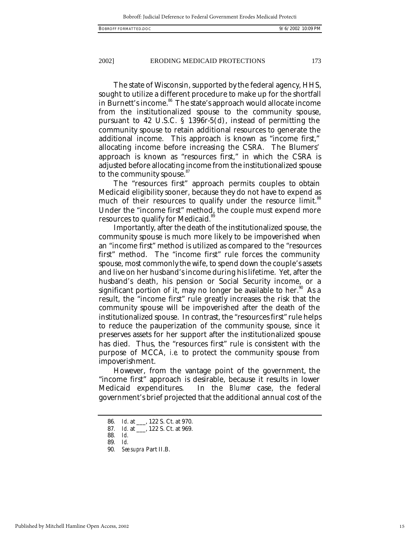The state of Wisconsin, supported by the federal agency, HHS, sought to utilize a different procedure to make up for the shortfall in Burnett's income.<sup>86</sup> The state's approach would allocate income from the institutionalized spouse to the community spouse, pursuant to 42 U.S.C. § 1396r-5(d), instead of permitting the community spouse to retain additional resources to generate the additional income. This approach is known as "income first," allocating income before increasing the CSRA. The Blumers' approach is known as "resources first," in which the CSRA is adjusted before allocating income from the institutionalized spouse to the community spouse.<sup>87</sup>

The "resources first" approach permits couples to obtain Medicaid eligibility sooner, because they do not have to expend as much of their resources to qualify under the resource limit.<sup>88</sup> Under the "income first" method, the couple must expend more resources to qualify for Medicaid.<sup>89</sup>

Importantly, after the death of the institutionalized spouse, the community spouse is much more likely to be impoverished when an "income first" method is utilized as compared to the "resources first" method. The "income first" rule forces the community spouse, most commonly the wife, to spend down the couple's assets and live on her husband's income during his lifetime. Yet, after the husband's death, his pension or Social Security income, or a significant portion of it, may no longer be available to her.<sup>90</sup> As a result, the "income first" rule greatly increases the risk that the community spouse will be impoverished after the death of the institutionalized spouse. In contrast, the "resources first" rule helps to reduce the pauperization of the community spouse, since it preserves assets for her support after the institutionalized spouse has died. Thus, the "resources first" rule is consistent with the purpose of MCCA, *i.e.* to protect the community spouse from impoverishment.

However, from the vantage point of the government, the "income first" approach is desirable, because it results in lower Medicaid expenditures. In the *Blumer* case, the federal government's brief projected that the additional annual cost of the

<sup>86</sup>*. Id*. at \_\_\_, 122 S. Ct. at 970.

<sup>87</sup>*. Id.* at \_\_\_, 122 S. Ct. at 969.

<sup>88</sup>*. Id.*

<sup>89</sup>*. Id.*

<sup>90</sup>*. See supra* Part II.B.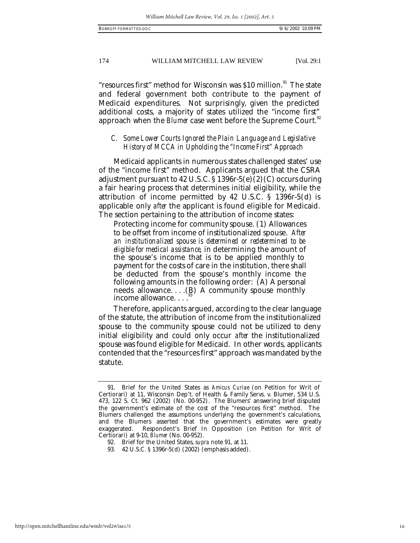"resources first" method for Wisconsin was \$10 million.<sup>91</sup> The state and federal government both contribute to the payment of Medicaid expenditures. Not surprisingly, given the predicted additional costs, a majority of states utilized the "income first" approach when the *Blumer* case went before the Supreme Court.<sup>92</sup>

# *C. Some Lower Courts Ignored the Plain Language and Legislative History of MCCA in Upholding the "Income First" Approach*

Medicaid applicants in numerous states challenged states' use of the "income first" method. Applicants argued that the CSRA adjustment pursuant to 42 U.S.C. § 1396r-5(e)(2)(C) occurs during a fair hearing process that determines initial eligibility, while the attribution of income permitted by 42 U.S.C. § 1396r-5(d) is applicable only *after* the applicant is found eligible for Medicaid. The section pertaining to the attribution of income states:

Protecting income for community spouse. (1) Allowances to be offset from income of institutionalized spouse. *After an institutionalized spouse is determined or redetermined to be eligible for medical assistance,* in determining the amount of the spouse's income that is to be applied monthly to payment for the costs of care in the institution, there shall be deducted from the spouse's monthly income the following amounts in the following order: (A) A personal needs allowance.... $(B)$  A community spouse monthly income allowance. . . . 93

Therefore, applicants argued, according to the clear language of the statute, the attribution of income from the institutionalized spouse to the community spouse could not be utilized to deny initial eligibility and could only occur *after* the institutionalized spouse was found eligible for Medicaid. In other words, applicants contended that the "resources first" approach was mandated by the statute.

<sup>91.</sup> Brief for the United States as *Amicus Curiae* (on Petition for Writ of Certiorari) at 11, Wisconsin Dep't. of Health & Family Servs. v. Blumer, 534 U.S. 473, 122 S. Ct. 962 (2002) (No. 00-952). The Blumers' answering brief disputed the government's estimate of the cost of the "resources first" method. The Blumers challenged the assumptions underlying the government's calculations, and the Blumers asserted that the government's estimates were greatly exaggerated. Respondent's Brief In Opposition (on Petition for Writ of Certiorari) at 9-10, *Blumer* (No. 00-952).

<sup>92.</sup> Brief for the United States, *supra* note 91*,* at 11.

<sup>93.</sup> 42 U.S.C. § 1396r-5(d) (2002) (emphasis added).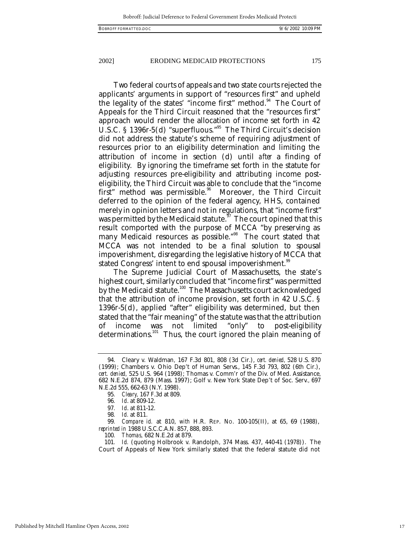Two federal courts of appeals and two state courts rejected the applicants' arguments in support of "resources first" and upheld the legality of the states' "income first" method.<sup>94</sup> The Court of Appeals for the Third Circuit reasoned that the "resources first" approach would render the allocation of income set forth in 42 U.S.C. § 1396r-5(d) "superfluous."<sup>95</sup> The Third Circuit's decision did not address the statute's scheme of requiring adjustment of resources prior to an eligibility determination and limiting the attribution of income in section (d) until *after* a finding of eligibility. By ignoring the timeframe set forth in the statute for adjusting resources pre-eligibility and attributing income posteligibility, the Third Circuit was able to conclude that the "income first" method was permissible.<sup>96</sup> Moreover, the Third Circuit deferred to the opinion of the federal agency, HHS, contained merely in opinion letters and not in regulations, that "income first" was permitted by the Medicaid statute.<sup>97</sup> The court opined that this result comported with the purpose of MCCA "by preserving as many Medicaid resources as possible."<sup>98</sup> The court stated that MCCA was not intended to be a final solution to spousal impoverishment, disregarding the legislative history of MCCA that stated Congress' intent to end spousal impoverishment.<sup>99</sup>

The Supreme Judicial Court of Massachusetts, the state's highest court, similarly concluded that "income first" was permitted by the Medicaid statute.<sup>100</sup> The Massachusetts court acknowledged that the attribution of income provision, set forth in 42 U.S.C. § 1396r-5(d), applied "after" eligibility was determined, but then stated that the "fair meaning" of the statute was that the attribution of income was not limited "only" to post-eligibility determinations.<sup>101</sup> Thus, the court ignored the plain meaning of

100*. Thomas,* 682 N.E.2d at 879.

<sup>94.</sup> Cleary v. Waldman*,* 167 F.3d 801, 808 (3d Cir.), *cert. denied,* 528 U.S. 870 (1999); Chambers v. Ohio Dep't of Human Servs*.*, 145 F.3d 793, 802 (6th Cir.), *cert. denied,* 525 U.S. 964 (1998); Thomas v. Comm'r of the Div. of Med. Assistance*,* 682 N.E.2d 874, 879 (Mass. 1997); Golf v. New York State Dep't of Soc. Serv*.,* 697 N.E.2d 555, 662-63 (N.Y. 1998).

<sup>95</sup>*. Cleary,* 167 F.3d at 809.

<sup>96</sup>*. Id*. at 809-12.

<sup>97</sup>*. Id*. at 811-12.

<sup>98</sup>*. Id.* at 811.

<sup>99</sup>*. Compare id.* at 810, *with* H.R. REP. NO. 100-105(II), at 65, 69 (1988), *reprinted in* 1988 U.S.C.C.A.N. 857, 888, 893.

<sup>101</sup>*. Id.* (quoting Holbrook v. Randolph, 374 Mass. 437, 440-41 (1978)). The Court of Appeals of New York similarly stated that the federal statute did not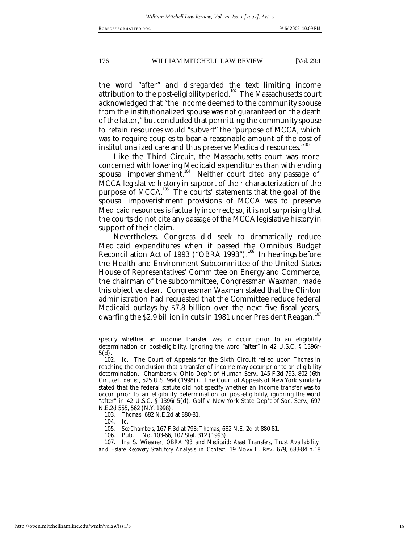the word "after" and disregarded the text limiting income attribution to the post-eligibility period.<sup>102</sup> The Massachusetts court acknowledged that "the income deemed to the community spouse from the institutionalized spouse was not guaranteed on the death of the latter," but concluded that permitting the community spouse to retain resources would "subvert" the "purpose of MCCA, which was to require couples to bear a reasonable amount of the cost of institutionalized care and thus preserve Medicaid resources."<sup>103</sup>

Like the Third Circuit, the Massachusetts court was more concerned with lowering Medicaid expenditures than with ending spousal impoverishment.<sup>104</sup> Neither court cited any passage of MCCA legislative history in support of their characterization of the purpose of MCCA.<sup>105</sup> The courts' statements that the goal of the spousal impoverishment provisions of MCCA was to preserve Medicaid resources is factually incorrect; so, it is not surprising that the courts do not cite any passage of the MCCA legislative history in support of their claim.

Nevertheless, Congress did seek to dramatically reduce Medicaid expenditures when it passed the Omnibus Budget Reconciliation Act of 1993 ("OBRA 1993").<sup>106</sup> In hearings before the Health and Environment Subcommittee of the United States House of Representatives' Committee on Energy and Commerce, the chairman of the subcommittee, Congressman Waxman, made this objective clear. Congressman Waxman stated that the Clinton administration had requested that the Committee reduce federal Medicaid outlays by \$7.8 billion over the next five fiscal years, dwarfing the \$2.9 billion in cuts in 1981 under President Reagan. $^{\scriptscriptstyle 107}$ 

- 103*. Thomas,* 682 N.E.2d at 880-81.
- 104*. Id.*
- 105*. See Chambers,* 167 F.3d at 793; *Thomas*, 682 N.E. 2d at 880-81.
- 106. Pub. L. No. 103-66, 107 Stat. 312 (1993).

specify whether an income transfer was to occur prior to an eligibility determination or post-eligibility, ignoring the word "after" in 42 U.S.C. § 1396r-5(d).

<sup>102</sup>*. Id.* The Court of Appeals for the Sixth Circuit relied upon *Thomas* in reaching the conclusion that a transfer of income may occur prior to an eligibility determination. Chambers v. Ohio Dep't of Human Serv*.,* 145 F.3d 793, 802 (6th Cir., *cert. denied*, 525 U.S. 964 (1998)). The Court of Appeals of New York similarly stated that the federal statute did not specify whether an income transfer was to occur prior to an eligibility determination or post-eligibility, ignoring the word "after" in 42 U.S.C. § 1396r-5(d). Golf v. New York State Dep't of Soc. Serv., 697 N.E.2d 555, 562 (N.Y. 1998).

<sup>107.</sup> Ira S. Wiesner, *OBRA '93 and Medicaid: Asset Transfers, Trust Availability, and Estate Recovery Statutory Analysis in Context,* 19 NOVA L. REV. 679, 683-84 n.18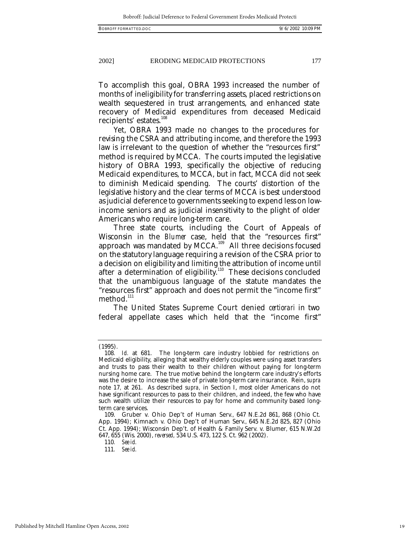To accomplish this goal, OBRA 1993 increased the number of months of ineligibility for transferring assets, placed restrictions on wealth sequestered in trust arrangements, and enhanced state recovery of Medicaid expenditures from deceased Medicaid recipients' estates.<sup>108</sup>

Yet, OBRA 1993 made no changes to the procedures for revising the CSRA and attributing income, and therefore the 1993 law is irrelevant to the question of whether the "resources first" method is required by MCCA. The courts imputed the legislative history of OBRA 1993, specifically the objective of reducing Medicaid expenditures, to MCCA, but in fact, MCCA did not seek to diminish Medicaid spending. The courts' distortion of the legislative history and the clear terms of MCCA is best understood as judicial deference to governments seeking to expend less on lowincome seniors and as judicial insensitivity to the plight of older Americans who require long-term care.

Three state courts, including the Court of Appeals of Wisconsin in the *Blumer* case, held that the "resources first" approach was mandated by MCCA.<sup>109</sup> All three decisions focused on the statutory language requiring a revision of the CSRA prior to a decision on eligibility and limiting the attribution of income until after a determination of eligibility.<sup>110</sup> These decisions concluded that the unambiguous language of the statute mandates the "resources first" approach and does not permit the "income first" method.<sup>111</sup>

The United States Supreme Court denied *certiorari* in two federal appellate cases which held that the "income first"

<sup>(1995).</sup>

<sup>108</sup>*. Id.* at 681. The long-term care industry lobbied for restrictions on Medicaid eligibility, alleging that wealthy elderly couples were using asset transfers and trusts to pass their wealth to their children without paying for long-term nursing home care. The true motive behind the long-term care industry's efforts was the desire to increase the sale of private long-term care insurance. Rein, *supra*  note 17*,* at 261. As described *supra,* in Section I, most older Americans do not have significant resources to pass to their children, and indeed, the few who have such wealth utilize their resources to pay for home and community based longterm care services.

<sup>109.</sup> Gruber v. Ohio Dep't of Human Serv*.,* 647 N.E.2d 861, 868 (Ohio Ct. App. 1994); Kimnach v. Ohio Dep't of Human Serv.*,* 645 N.E.2d 825, 827 (Ohio Ct. App. 1994); Wisconsin Dep't. of Health & Family Serv. v. Blumer*,* 615 N.W.2d 647, 655 (Wis. 2000), *reversed,* 534 U.S. 473, 122 S. Ct. 962 (2002).

<sup>110</sup>*. See id.*

<sup>111</sup>*. See id.*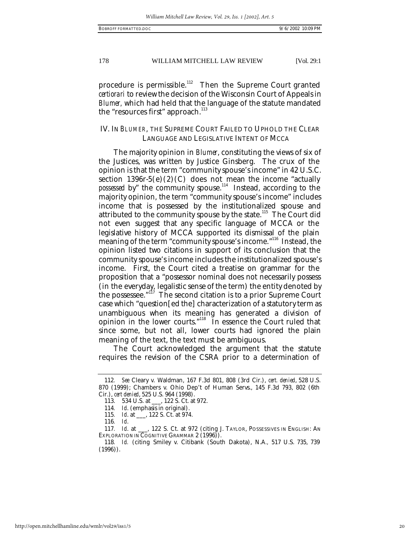procedure is permissible.<sup>112</sup> Then the Supreme Court granted *certiorari* to review the decision of the Wisconsin Court of Appeals in *Blumer,* which had held that the language of the statute mandated the "resources first" approach.<sup>113</sup>

# IV. IN *BLUMER*, THE SUPREME COURT FAILED TO UPHOLD THE CLEAR LANGUAGE AND LEGISLATIVE INTENT OF MCCA

The majority opinion in *Blumer*, constituting the views of six of the Justices, was written by Justice Ginsberg. The crux of the opinion is that the term "community spouse's income" in 42 U.S.C. section  $1396r-5(e)(2)(C)$  does not mean the income "actually *possessed* by" the community spouse.<sup>114</sup> Instead, according to the majority opinion, the term "community spouse's income" includes income that is possessed by the institutionalized spouse and attributed to the community spouse by the state.<sup>115</sup> The Court did not even suggest that any specific language of MCCA or the legislative history of MCCA supported its dismissal of the plain meaning of the term "community spouse's income."<sup>116</sup> Instead, the opinion listed two citations in support of its conclusion that the community spouse's income includes the institutionalized spouse's income. First, the Court cited a treatise on grammar for the proposition that a "possessor nominal does not necessarily possess (in the everyday, legalistic sense of the term) the entity denoted by the possessee." $117$  The second citation is to a prior Supreme Court case which "question[ed the] characterization of a statutory term as unambiguous when its meaning has generated a division of opinion in the lower courts."<sup>118</sup> In essence the Court ruled that since some, but not all, lower courts had ignored the plain meaning of the text, the text must be ambiguous.

The Court acknowledged the argument that the statute requires the revision of the CSRA prior to a determination of

<sup>112</sup>*. See* Cleary v. Waldman, 167 F.3d 801, 808 (3rd Cir.), *cert. denied*, 528 U.S. 870 (1999); Chambers v. Ohio Dep't of Human Servs., 145 F.3d 793, 802 (6th Cir.), *cert denied*, 525 U.S. 964 (1998).

<sup>113.</sup> 534 U.S. at \_\_\_, 122 S. Ct. at 972.

<sup>114</sup>*. Id*. (emphasis in original).

<sup>115</sup>*. Id*. at \_\_\_, 122 S. Ct. at 974.

<sup>116</sup>*. Id*.

<sup>117</sup>*. Id*. at \_\_\_, 122 S. Ct. at 972 (citing J. TAYLOR, POSSESSIVES IN ENGLISH: AN EXPLORATION IN COGNITIVE GRAMMAR 2 (1996).

<sup>118</sup>*. Id.* (citing Smiley v. Citibank (South Dakota), N.A*.,* 517 U.S. 735, 739  $(1996)$ ).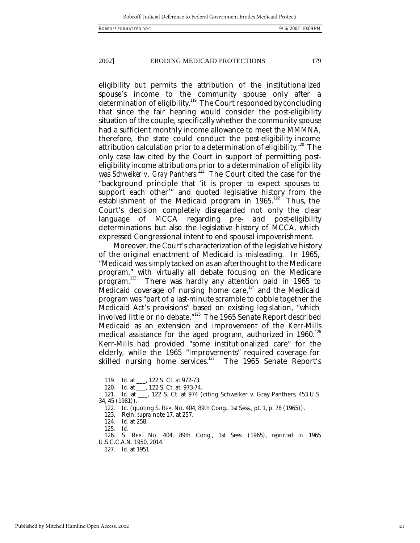eligibility but permits the attribution of the institutionalized spouse's income to the community spouse only after a determination of eligibility.<sup>119</sup> The Court responded by concluding that since the fair hearing would consider the post-eligibility situation of the couple, specifically whether the community spouse had a sufficient monthly income allowance to meet the MMMNA, therefore, the state could conduct the post-eligibility income attribution calculation prior to a determination of eligibility.<sup>120</sup> The only case law cited by the Court in support of permitting posteligibility income attributions prior to a determination of eligibility was *Schweiker v. Gray Panthers*. <sup>121</sup> The Court cited the case for the "background principle that 'it is proper to expect spouses to support each other'" and quoted legislative history from the establishment of the Medicaid program in  $1965$ .<sup>122</sup> Thus, the Court's decision completely disregarded not only the clear language of MCCA regarding pre- and post-eligibility determinations but also the legislative history of MCCA, which expressed Congressional intent to end spousal impoverishment.

Moreover, the Court's characterization of the legislative history of the original enactment of Medicaid is misleading. In 1965, "Medicaid was simply tacked on as an afterthought to the Medicare program," with virtually all debate focusing on the Medicare program.<sup>123</sup> There was hardly any attention paid in 1965 to There was hardly any attention paid in 1965 to Medicaid coverage of nursing home care, $124$  and the Medicaid program was "part of a last-minute scramble to cobble together the Medicaid Act's provisions" based on existing legislation, "which involved little or no debate."<sup>125</sup> The 1965 Senate Report described Medicaid as an extension and improvement of the Kerr-Mills medical assistance for the aged program, authorized in 1960.<sup>126</sup> Kerr-Mills had provided "some institutionalized care" for the elderly, while the 1965 "improvements" required coverage for skilled nursing home services.<sup>127</sup> The 1965 Senate Report's

125*. Id*.

<sup>119</sup>*. Id*. at \_\_\_, 122 S. Ct. at 972-73.

<sup>120</sup>*. Id*. at \_\_\_, 122 S. Ct. at 973-74.

<sup>121</sup>*. Id.* at \_\_\_, 122 S. Ct. at 974 (citing Schweiker v. Gray Panthers*,* 453 U.S. 34, 45 (1981)).

<sup>122</sup>*. Id.* (quoting S. REP. NO. 404, 89th Cong., 1st Sess., pt. 1, p. 78 (1965)).

<sup>123.</sup> Rein, *supra* note 17, at 257.

<sup>124</sup>*. Id*. at 258.

<sup>126.</sup> S. REP. NO. 404, 89th Cong., 1st Sess. (1965), *reprinted in* 1965 U.S.C.C.A.N. 1950, 2014.

<sup>127</sup>*. Id*. at 1951.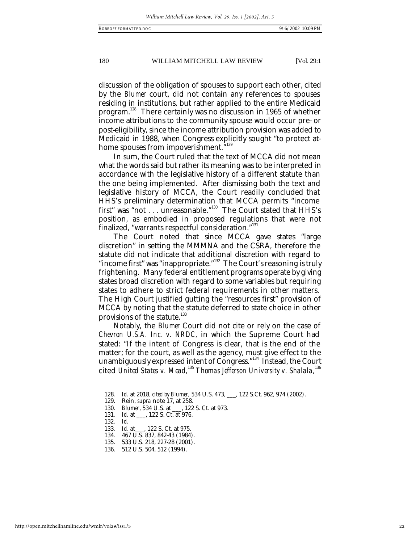discussion of the obligation of spouses to support each other, cited by the *Blumer* court, did not contain any references to spouses residing in institutions, but rather applied to the entire Medicaid program.<sup>128</sup> There certainly was no discussion in 1965 of whether income attributions to the community spouse would occur pre- or post-eligibility, since the income attribution provision was added to Medicaid in 1988, when Congress explicitly sought "to protect athome spouses from impoverishment.<sup>"129</sup>

In sum, the Court ruled that the text of MCCA did not mean what the words said but rather its meaning was to be interpreted in accordance with the legislative history of a different statute than the one being implemented. After dismissing both the text and legislative history of MCCA, the Court readily concluded that HHS's preliminary determination that MCCA permits "income first" was "not . . . unreasonable."<sup>130</sup> The Court stated that HHS's position, as embodied in proposed regulations that were not finalized, "warrants respectful consideration."<sup>131</sup>

The Court noted that since MCCA gave states "large discretion" in setting the MMMNA and the CSRA, therefore the statute did not indicate that additional discretion with regard to "income first" was "inappropriate."<sup>132</sup> The Court's reasoning is truly frightening. Many federal entitlement programs operate by giving states broad discretion with regard to some variables but requiring states to adhere to strict federal requirements in other matters. The High Court justified gutting the "resources first" provision of MCCA by noting that the statute deferred to state choice in other provisions of the statute.<sup>133</sup>

Notably, the *Blumer* Court did not cite or rely on the case of *Chevron U.S.A. Inc. v. NRDC,* in which the Supreme Court had stated: "If the intent of Congress is clear, that is the end of the matter; for the court, as well as the agency, must give effect to the unambiguously expressed intent of Congress."<sup>134</sup> Instead, the Court cited *United States v. Mead,*<sup>135</sup> *Thomas Jefferson University v. Shalala*,<sup>136</sup>

<sup>128</sup>*. Id.* at 2018, *cited by Blumer,* 534 U.S. 473, \_\_\_, 122 S.Ct. 962, 974 (2002).

<sup>129.</sup> Rein, *supra* note 17, at 258.

<sup>130.</sup> *Blumer*, 534 U.S. at \_\_\_, 122 S. Ct. at 973.

<sup>131</sup>*. Id.* at \_\_\_, 122 S. Ct. at 976.

<sup>132</sup>*. Id.* 133*. Id*. at\_\_\_, 122 S. Ct. at 975.

<sup>134.</sup> 467 U.S. 837, 842-43 (1984).

<sup>135.</sup> 533 U.S. 218, 227-28 (2001).

<sup>136.</sup> 512 U.S. 504, 512 (1994).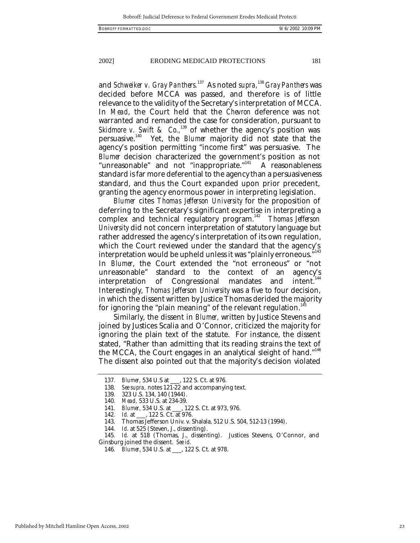and *Schweiker v. Gray Panthers.* <sup>137</sup> As noted *supra,* <sup>138</sup> *Gray Panthers* was decided before MCCA was passed, and therefore is of little relevance to the validity of the Secretary's interpretation of MCCA. In *Mead*, the Court held that the *Chevron* deference was not warranted and remanded the case for consideration, pursuant to *Skidmore v. Swift & Co.*<sup>139</sup> of whether the agency's position was persuasive.<sup>140</sup> Yet, the *Blumer* majority did not state that the agency's position permitting "income first" was persuasive. The *Blumer* decision characterized the government's position as not "unreasonable" and not "inappropriate."<sup>141</sup> A reasonableness standard is far more deferential to the agency than a persuasiveness standard, and thus the Court expanded upon prior precedent, granting the agency enormous power in interpreting legislation.

*Blumer* cites *Thomas Jefferson University* for the proposition of deferring to the Secretary's significant expertise in interpreting a complex and technical regulatory program.<sup>142</sup> Thomas Jefferson *University* did not concern interpretation of statutory language but rather addressed the agency's interpretation of its own regulation, which the Court reviewed under the standard that the agency's interpretation would be upheld unless it was "plainly erroneous." $^{\rm 143}$ In *Blumer*, the Court extended the "not erroneous" or "not unreasonable" standard to the context of an agency's interpretation of Congressional mandates and intent.<sup>144</sup> Interestingly, *Thomas Jefferson University* was a five to four decision, in which the dissent written by Justice Thomas derided the majority for ignoring the "plain meaning" of the relevant regulation.<sup>1</sup>

Similarly, the dissent in *Blumer,* written by Justice Stevens and joined by Justices Scalia and O'Connor, criticized the majority for ignoring the plain text of the statute. For instance, the dissent stated, "Rather than admitting that its reading strains the text of the MCCA, the Court engages in an analytical sleight of hand."<sup>146</sup> The dissent also pointed out that the majority's decision violated

<sup>137</sup>*. Blumer,* 534 U.S at \_\_\_, 122 S. Ct. at 976.

<sup>138</sup>*. See supra,* notes 121-22 and accompanying text.

<sup>139.</sup> 323 U.S. 134, 140 (1944).

<sup>140</sup>*. Mead,* 533 U.S. at 234-39.

<sup>141</sup>*. Blumer,* 534 U.S. at \_\_\_, 122 S. Ct. at 973, 976.

<sup>142</sup>*. Id.* at \_\_\_, 122 S. Ct. at 976.

<sup>143.</sup> Thomas Jefferson Univ. v. Shalala, 512 U.S. 504, 512-13 (1994).

<sup>144</sup>*. Id*. at 525 (Steven, J., dissenting).

<sup>145</sup>*. Id.* at 518 (Thomas, J., dissenting). Justices Stevens, O'Connor, and Ginsburg joined the dissent. *See id.*

<sup>146</sup>*. Blumer*, 534 U.S. at \_\_\_, 122 S. Ct. at 978.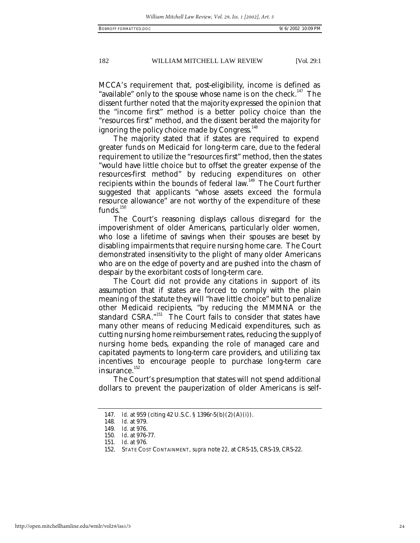MCCA's requirement that, post-eligibility, income is defined as "available" only to the spouse whose name is on the check.<sup>147</sup> The dissent further noted that the majority expressed the opinion that the "income first" method is a better policy choice than the "resources first" method, and the dissent berated the majority for ignoring the policy choice made by Congress.<sup>148</sup>

The majority stated that if states are required to expend greater funds on Medicaid for long-term care, due to the federal requirement to utilize the "resources first" method, then the states "would have little choice but to offset the greater expense of the resources-first method" by reducing expenditures on other recipients within the bounds of federal law.<sup>149</sup> The Court further suggested that applicants "whose assets exceed the formula resource allowance" are not worthy of the expenditure of these funds. $150$ 

The Court's reasoning displays callous disregard for the impoverishment of older Americans, particularly older women, who lose a lifetime of savings when their spouses are beset by disabling impairments that require nursing home care. The Court demonstrated insensitivity to the plight of many older Americans who are on the edge of poverty and are pushed into the chasm of despair by the exorbitant costs of long-term care.

The Court did not provide any citations in support of its assumption that if states are forced to comply with the plain meaning of the statute they will "have little choice" but to penalize other Medicaid recipients, "by reducing the MMMNA or the standard CSRA."<sup>151</sup> The Court fails to consider that states have many other means of reducing Medicaid expenditures, such as cutting nursing home reimbursement rates, reducing the supply of nursing home beds, expanding the role of managed care and capitated payments to long-term care providers, and utilizing tax incentives to encourage people to purchase long-term care insurance.<sup>152</sup>

The Court's presumption that states will not spend additional dollars to prevent the pauperization of older Americans is self-

<sup>147</sup>*. Id.* at 959 (citing 42 U.S.C. § 1396r-5(b)(2)(A)(i)).

<sup>148</sup>*. Id.* at 979.

<sup>149</sup>*. Id.* at 976.

<sup>150</sup>*. Id*. at 976-77.

<sup>151</sup>*. Id*. at 976*.*

<sup>152.</sup> STATE COST CONTAINMENT*, supra* note *22,* at CRS-15, CRS-19, CRS-22.